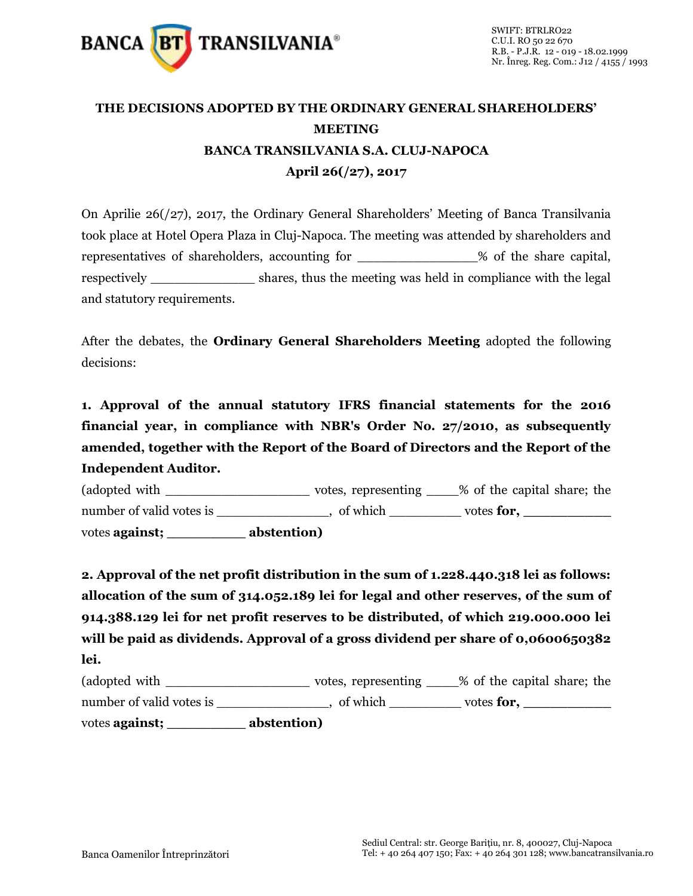

## **THE DECISIONS ADOPTED BY THE ORDINARY GENERAL SHAREHOLDERS' MEETING BANCA TRANSILVANIA S.A. CLUJ-NAPOCA April 26(/27), 2017**

On Aprilie 26(/27), 2017, the Ordinary General Shareholders' Meeting of Banca Transilvania took place at Hotel Opera Plaza in Cluj-Napoca. The meeting was attended by shareholders and representatives of shareholders, accounting for  $\sim$  % of the share capital, respectively shares, thus the meeting was held in compliance with the legal and statutory requirements.

After the debates, the **Ordinary General Shareholders Meeting** adopted the following decisions:

**1. Approval of the annual statutory IFRS financial statements for the 2016 financial year, in compliance with NBR's Order No. 27/2010, as subsequently amended, together with the Report of the Board of Directors and the Report of the Independent Auditor.** 

(adopted with  $\Box$  votes, representing  $\Box$  % of the capital share; the number of valid votes is \_\_\_\_\_\_\_\_\_\_, of which \_\_\_\_\_\_\_\_ votes **for,** \_\_\_\_\_\_\_\_\_\_\_\_\_ votes **against; \_\_\_\_\_\_\_\_\_ abstention)**

**2. Approval of the net profit distribution in the sum of 1.228.440.318 lei as follows: allocation of the sum of 314.052.189 lei for legal and other reserves, of the sum of 914.388.129 lei for net profit reserves to be distributed, of which 219.000.000 lei will be paid as dividends. Approval of a gross dividend per share of 0,0600650382 lei.** 

| (adopted with            | votes, representing | % of the capital share; the |
|--------------------------|---------------------|-----------------------------|
| number of valid votes is | of which            | votes for,                  |
| votes <b>against</b> ;   | abstention)         |                             |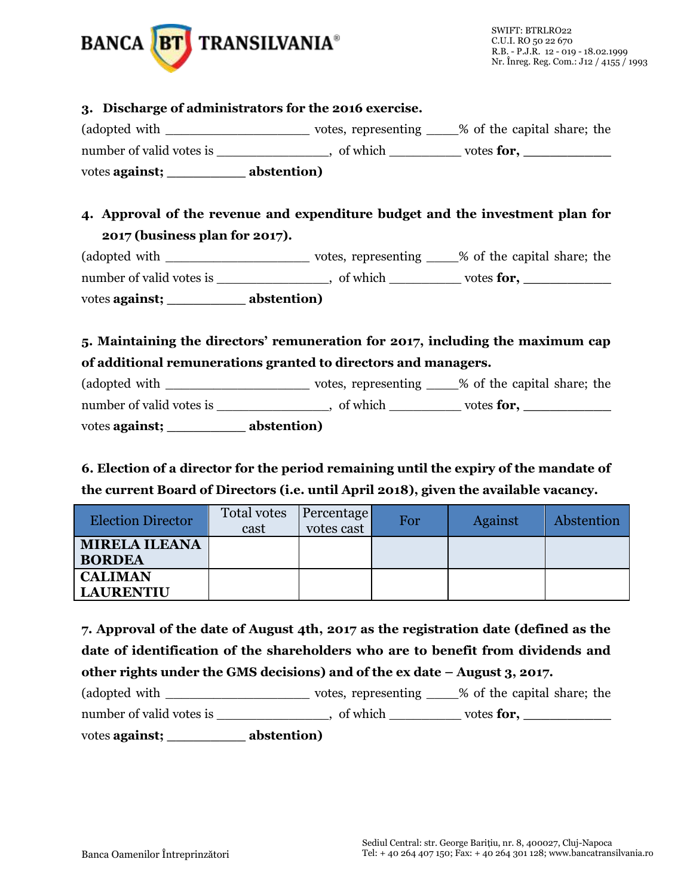

**6. Election of a director for the period remaining until the expiry of the mandate of the current Board of Directors (i.e. until April 2018), given the available vacancy.**

| <b>Election Director</b>              | Total votes<br>cast | <b>Percentage</b><br>votes cast | For | Against | Abstention |
|---------------------------------------|---------------------|---------------------------------|-----|---------|------------|
| <b>MIRELA ILEANA</b><br><b>BORDEA</b> |                     |                                 |     |         |            |
| <b>CALIMAN</b><br><b>LAURENTIU</b>    |                     |                                 |     |         |            |

**7. Approval of the date of August 4th, 2017 as the registration date (defined as the date of identification of the shareholders who are to benefit from dividends and other rights under the GMS decisions) and of the ex date – August 3, 2017.** (adopted with \_\_\_\_\_\_\_\_\_\_\_\_\_\_\_\_\_\_ votes, representing \_\_\_\_% of the capital share; the number of valid votes is \_\_\_\_\_\_\_\_\_\_\_\_, of which \_\_\_\_\_\_\_\_\_ votes **for**, \_\_\_\_\_\_\_\_\_

votes **against; \_\_\_\_\_\_\_\_\_ abstention)**